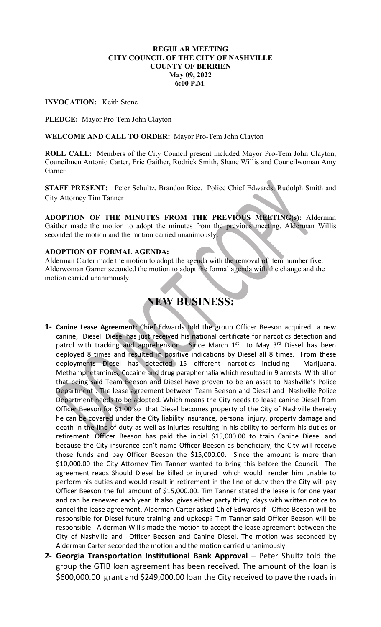#### REGULAR MEETING CITY COUNCIL OF THE CITY OF NASHVILLE COUNTY OF BERRIEN May 09, 2022 6:00 P.M.

INVOCATION: Keith Stone

PLEDGE: Mayor Pro-Tem John Clayton

WELCOME AND CALL TO ORDER: Mayor Pro-Tem John Clayton

ROLL CALL: Members of the City Council present included Mayor Pro-Tem John Clayton, Councilmen Antonio Carter, Eric Gaither, Rodrick Smith, Shane Willis and Councilwoman Amy Garner

STAFF PRESENT: Peter Schultz, Brandon Rice, Police Chief Edwards, Rudolph Smith and City Attorney Tim Tanner

ADOPTION OF THE MINUTES FROM THE PREVIOUS MEETING(s): Alderman Gaither made the motion to adopt the minutes from the previous meeting. Alderman Willis seconded the motion and the motion carried unanimously.

## ADOPTION OF FORMAL AGENDA:

Alderman Carter made the motion to adopt the agenda with the removal of item number five. Alderwoman Garner seconded the motion to adopt the formal agenda with the change and the motion carried unanimously.

# NEW BUSINESS:

- 1- Canine Lease Agreement: Chief Edwards told the group Officer Beeson acquired a new canine, Diesel. Diesel has just received his national certificate for narcotics detection and patrol with tracking and apprehension. Since March 1<sup>st</sup> to May 3<sup>rd</sup> Diesel has been deployed 8 times and resulted in positive indications by Diesel all 8 times. From these deployments Diesel has detected 15 different narcotics including Marijuana, Methamphetamines, Cocaine and drug paraphernalia which resulted in 9 arrests. With all of that being said Team Beeson and Diesel have proven to be an asset to Nashville's Police Department . The lease agreement between Team Beeson and Diesel and Nashville Police Department needs to be adopted. Which means the City needs to lease canine Diesel from Officer Beeson for \$1.00 so that Diesel becomes property of the City of Nashville thereby he can be covered under the City liability insurance, personal injury, property damage and death in the line of duty as well as injuries resulting in his ability to perform his duties or retirement. Officer Beeson has paid the initial \$15,000.00 to train Canine Diesel and because the City insurance can't name Officer Beeson as beneficiary, the City will receive those funds and pay Officer Beeson the \$15,000.00. Since the amount is more than \$10,000.00 the City Attorney Tim Tanner wanted to bring this before the Council. The agreement reads Should Diesel be killed or injured which would render him unable to perform his duties and would result in retirement in the line of duty then the City will pay Officer Beeson the full amount of \$15,000.00. Tim Tanner stated the lease is for one year and can be renewed each year. It also gives either party thirty days with written notice to cancel the lease agreement. Alderman Carter asked Chief Edwards if Office Beeson will be responsible for Diesel future training and upkeep? Tim Tanner said Officer Beeson will be responsible. Alderman Willis made the motion to accept the lease agreement between the City of Nashville and Officer Beeson and Canine Diesel. The motion was seconded by Alderman Carter seconded the motion and the motion carried unanimously.
- 2- Georgia Transportation Institutional Bank Approval Peter Shultz told the group the GTIB loan agreement has been received. The amount of the loan is \$600,000.00 grant and \$249,000.00 loan the City received to pave the roads in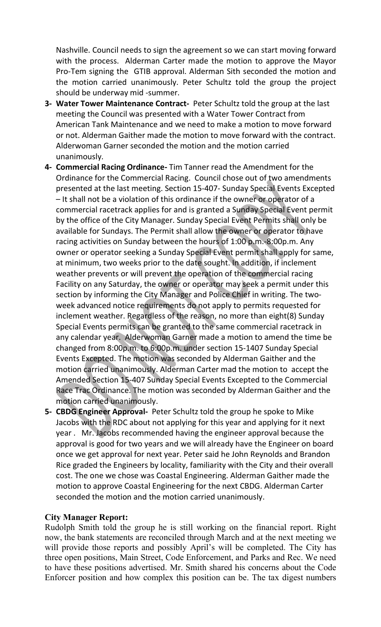Nashville. Council needs to sign the agreement so we can start moving forward with the process. Alderman Carter made the motion to approve the Mayor Pro-Tem signing the GTIB approval. Alderman Sith seconded the motion and the motion carried unanimously. Peter Schultz told the group the project should be underway mid -summer.

- 3- Water Tower Maintenance Contract- Peter Schultz told the group at the last meeting the Council was presented with a Water Tower Contract from American Tank Maintenance and we need to make a motion to move forward or not. Alderman Gaither made the motion to move forward with the contract. Alderwoman Garner seconded the motion and the motion carried unanimously.
- 4- Commercial Racing Ordinance- Tim Tanner read the Amendment for the Ordinance for the Commercial Racing. Council chose out of two amendments presented at the last meeting. Section 15-407- Sunday Special Events Excepted – It shall not be a violation of this ordinance if the owner or operator of a commercial racetrack applies for and is granted a Sunday Special Event permit by the office of the City Manager. Sunday Special Event Permits shall only be available for Sundays. The Permit shall allow the owner or operator to have racing activities on Sunday between the hours of 1:00 p.m.-8:00p.m. Any owner or operator seeking a Sunday Special Event permit shall apply for same, at minimum, two weeks prior to the date sought. In addition, if inclement weather prevents or will prevent the operation of the commercial racing Facility on any Saturday, the owner or operator may seek a permit under this section by informing the City Manager and Police Chief in writing. The twoweek advanced notice requirements do not apply to permits requested for inclement weather. Regardless of the reason, no more than eight(8) Sunday Special Events permits can be granted to the same commercial racetrack in any calendar year. Alderwoman Garner made a motion to amend the time be changed from 8:00p.m. to 6:00p.m. under section 15-1407 Sunday Special Events Excepted. The motion was seconded by Alderman Gaither and the motion carried unanimously. Alderman Carter mad the motion to accept the Amended Section 15-407 Sunday Special Events Excepted to the Commercial Race Trac Ordinance. The motion was seconded by Alderman Gaither and the motion carried unanimously.
- 5- CBDG Engineer Approval- Peter Schultz told the group he spoke to Mike Jacobs with the RDC about not applying for this year and applying for it next year . Mr. Jacobs recommended having the engineer approval because the approval is good for two years and we will already have the Engineer on board once we get approval for next year. Peter said he John Reynolds and Brandon Rice graded the Engineers by locality, familiarity with the City and their overall cost. The one we chose was Coastal Engineering. Alderman Gaither made the motion to approve Coastal Engineering for the next CBDG. Alderman Carter seconded the motion and the motion carried unanimously.

## City Manager Report:

Rudolph Smith told the group he is still working on the financial report. Right now, the bank statements are reconciled through March and at the next meeting we will provide those reports and possibly April's will be completed. The City has three open positions, Main Street, Code Enforcement, and Parks and Rec. We need to have these positions advertised. Mr. Smith shared his concerns about the Code Enforcer position and how complex this position can be. The tax digest numbers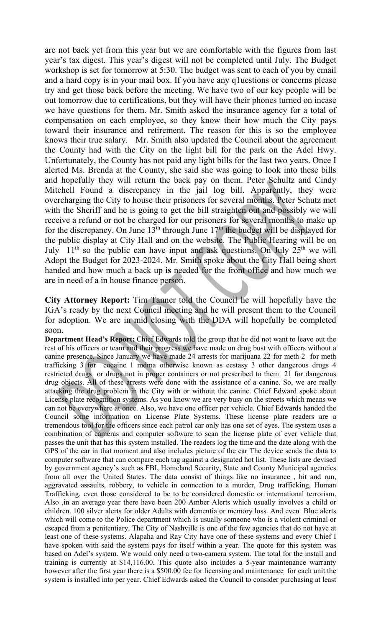are not back yet from this year but we are comfortable with the figures from last year's tax digest. This year's digest will not be completed until July. The Budget workshop is set for tomorrow at 5:30. The budget was sent to each of you by email and a hard copy is in your mail box. If you have any q1uestions or concerns please try and get those back before the meeting. We have two of our key people will be out tomorrow due to certifications, but they will have their phones turned on incase we have questions for them. Mr. Smith asked the insurance agency for a total of compensation on each employee, so they know their how much the City pays toward their insurance and retirement. The reason for this is so the employee knows their true salary. Mr. Smith also updated the Council about the agreement the County had with the City on the light bill for the park on the Adel Hwy. Unfortunately, the County has not paid any light bills for the last two years. Once I alerted Ms. Brenda at the County, she said she was going to look into these bills and hopefully they will return the back pay on them. Peter Schultz and Cindy Mitchell Found a discrepancy in the jail log bill. Apparently, they were overcharging the City to house their prisoners for several months. Peter Schutz met with the Sheriff and he is going to get the bill straighten out and possibly we will receive a refund or not be charged for our prisoners for several months to make up for the discrepancy. On June  $13<sup>th</sup>$  through June  $17<sup>th</sup>$  the budget will be displayed for the public display at City Hall and on the website. The Public Hearing will be on July  $11<sup>th</sup>$  so the public can have input and ask questions. On July  $25<sup>th</sup>$  we will Adopt the Budget for 2023-2024. Mr. Smith spoke about the City Hall being short handed and how much a back up is needed for the front office and how much we are in need of a in house finance person.

City Attorney Report: Tim Tanner told the Council he will hopefully have the IGA's ready by the next Council meeting and he will present them to the Council for adoption. We are in mid closing with the DDA will hopefully be completed soon.

Department Head's Report: Chief Edwards told the group that he did not want to leave out the rest of his officers or team and their progress we have made on drug bust with officers without a canine presence. Since January we have made 24 arrests for marijuana 22 for meth 2 for meth trafficking 3 for cocaine 1 mdma otherwise known as ecstasy 3 other dangerous drugs 4 restricted drugs or drugs not in proper containers or not prescribed to them 21 for dangerous drug objects. All of these arrests were done with the assistance of a canine. So, we are really attacking the drug problem in the City with or without the canine. Chief Edward spoke about License plate recognition systems. As you know we are very busy on the streets which means we can not be everywhere at once. Also, we have one officer per vehicle. Chief Edwards handed the Council some information on License Plate Systems. These license plate readers are a tremendous tool for the officers since each patrol car only has one set of eyes. The system uses a combination of cameras and computer software to scan the license plate of ever vehicle that passes the unit that has this system installed. The readers log the time and the date along with the GPS of the car in that moment and also includes picture of the car The device sends the data to computer software that can compare each tag against a designated hot list. These lists are devised by government agency's such as FBI, Homeland Security, State and County Municipal agencies from all over the United States. The data consist of things like no insurance , hit and run, aggravated assaults, robbery, to vehicle in connection to a murder, Drug trafficking, Human Trafficking, even those considered to be to be considered domestic or international terrorism. Also ,in an average year there have been 200 Amber Alerts which usually involves a child or children. 100 silver alerts for older Adults with dementia or memory loss. And even Blue alerts which will come to the Police department which is usually someone who is a violent criminal or escaped from a penitentiary. The City of Nashville is one of the few agencies that do not have at least one of these systems. Alapaha and Ray City have one of these systems and every Chief I have spoken with said the system pays for itself within a year. The quote for this system was based on Adel's system. We would only need a two-camera system. The total for the install and training is currently at \$14,116.00. This quote also includes a 5-year maintenance warranty however after the first year there is a \$500.00 fee for licensing and maintenance for each unit the system is installed into per year. Chief Edwards asked the Council to consider purchasing at least